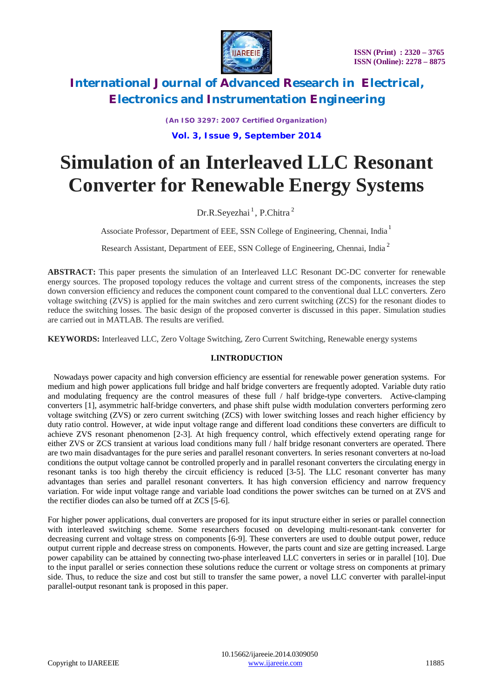

*(An ISO 3297: 2007 Certified Organization)*

**Vol. 3, Issue 9, September 2014**

# **Simulation of an Interleaved LLC Resonant Converter for Renewable Energy Systems**

Dr.R.Seyezhai<sup>1</sup>, P.Chitra<sup>2</sup>

Associate Professor, Department of EEE, SSN College of Engineering, Chennai, India <sup>1</sup>

Research Assistant, Department of EEE, SSN College of Engineering, Chennai, India<sup>2</sup>

**ABSTRACT:** This paper presents the simulation of an Interleaved LLC Resonant DC-DC converter for renewable energy sources. The proposed topology reduces the voltage and current stress of the components, increases the step down conversion efficiency and reduces the component count compared to the conventional dual LLC converters. Zero voltage switching (ZVS) is applied for the main switches and zero current switching (ZCS) for the resonant diodes to reduce the switching losses. The basic design of the proposed converter is discussed in this paper. Simulation studies are carried out in MATLAB. The results are verified.

**KEYWORDS:** Interleaved LLC, Zero Voltage Switching, Zero Current Switching, Renewable energy systems

#### **I.INTRODUCTION**

 Nowadays power capacity and high conversion efficiency are essential for renewable power generation systems. For medium and high power applications full bridge and half bridge converters are frequently adopted. Variable duty ratio and modulating frequency are the control measures of these full / half bridge-type converters. Active-clamping converters [1], asymmetric half-bridge converters, and phase shift pulse width modulation converters performing zero voltage switching (ZVS) or zero current switching (ZCS) with lower switching losses and reach higher efficiency by duty ratio control. However, at wide input voltage range and different load conditions these converters are difficult to achieve ZVS resonant phenomenon [2-3]. At high frequency control, which effectively extend operating range for either ZVS or ZCS transient at various load conditions many full / half bridge resonant converters are operated. There are two main disadvantages for the pure series and parallel resonant converters. In series resonant converters at no-load conditions the output voltage cannot be controlled properly and in parallel resonant converters the circulating energy in resonant tanks is too high thereby the circuit efficiency is reduced [3-5]. The LLC resonant converter has many advantages than series and parallel resonant converters. It has high conversion efficiency and narrow frequency variation. For wide input voltage range and variable load conditions the power switches can be turned on at ZVS and the rectifier diodes can also be turned off at ZCS [5-6].

For higher power applications, dual converters are proposed for its input structure either in series or parallel connection with interleaved switching scheme. Some researchers focused on developing multi-resonant-tank converter for decreasing current and voltage stress on components [6-9]. These converters are used to double output power, reduce output current ripple and decrease stress on components. However, the parts count and size are getting increased. Large power capability can be attained by connecting two-phase interleaved LLC converters in series or in parallel [10]. Due to the input parallel or series connection these solutions reduce the current or voltage stress on components at primary side. Thus, to reduce the size and cost but still to transfer the same power, a novel LLC converter with parallel-input parallel-output resonant tank is proposed in this paper.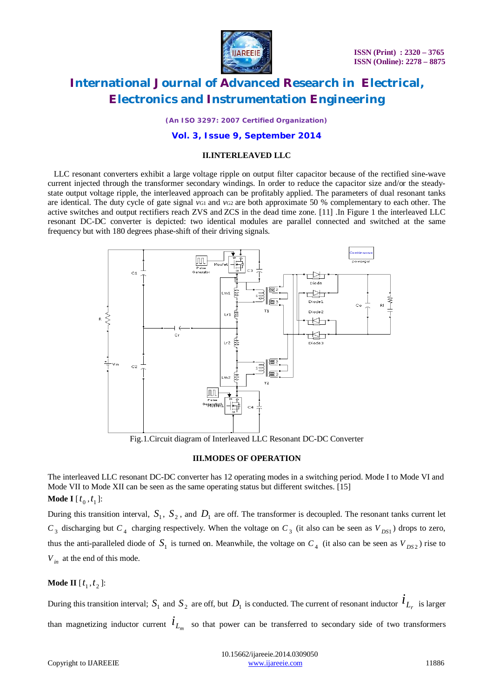

*(An ISO 3297: 2007 Certified Organization)*

#### **Vol. 3, Issue 9, September 2014**

#### **II.INTERLEAVED LLC**

 LLC resonant converters exhibit a large voltage ripple on output filter capacitor because of the rectified sine-wave current injected through the transformer secondary windings. In order to reduce the capacitor size and/or the steadystate output voltage ripple, the interleaved approach can be profitably applied. The parameters of dual resonant tanks are identical. The duty cycle of gate signal *v*G1 and *vG2* are both approximate 50 % complementary to each other. The active switches and output rectifiers reach ZVS and ZCS in the dead time zone. [11] .In Figure 1 the interleaved LLC resonant DC-DC converter is depicted: two identical modules are parallel connected and switched at the same frequency but with 180 degrees phase-shift of their driving signals.



Fig.1.Circuit diagram of Interleaved LLC Resonant DC-DC Converter

#### **III.MODES OF OPERATION**

The interleaved LLC resonant DC-DC converter has 12 operating modes in a switching period. Mode I to Mode VI and Mode VII to Mode XII can be seen as the same operating status but different switches. [15] **Mode I** [ $t_0$ , $t_1$ ]:

During this transition interval,  $S_1$ ,  $S_2$ , and  $D_1$  are off. The transformer is decoupled. The resonant tanks current let  $C_3$  discharging but  $C_4$  charging respectively. When the voltage on  $C_3$  (it also can be seen as  $V_{DS1}$ ) drops to zero, thus the anti-paralleled diode of  $S_1$  is turned on. Meanwhile, the voltage on  $C_4$  (it also can be seen as  $V_{DS2}$ ) rise to *Vin* at the end of this mode.

### **Mode II**  $[t_1, t_2]$ :

During this transition interval;  $S_1$  and  $S_2$  are off, but  $D_1$  is conducted. The current of resonant inductor  $\dot{l}_{L_r}$  is larger than magnetizing inductor current  $\dot{l}_{L_m}$  so that power can be transferred to secondary side of two transformers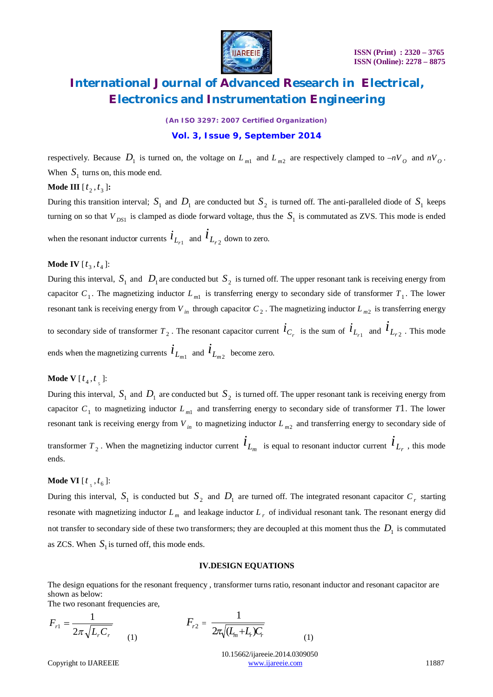

*(An ISO 3297: 2007 Certified Organization)*

#### **Vol. 3, Issue 9, September 2014**

respectively. Because  $D_1$  is turned on, the voltage on  $L_{m1}$  and  $L_{m2}$  are respectively clamped to  $-nV_o$  and  $nV_o$ . When  $S_1$  turns on, this mode end.

**Mode III**  $[t_2, t_3]$ **:** 

During this transition interval;  $S_1$  and  $D_1$  are conducted but  $S_2$  is turned off. The anti-paralleled diode of  $S_1$  keeps turning on so that  $V_{DS1}$  is clamped as diode forward voltage, thus the  $S_1$  is commutated as ZVS. This mode is ended

when the resonant inductor currents  $\dot{l}_{L_{r1}}$  and  $\dot{l}_{L_{r2}}$  down to zero.

### **Mode IV**  $[t_3, t_4]$ :

During this interval,  $S_1$  and  $D_1$  are conducted but  $S_2$  is turned off. The upper resonant tank is receiving energy from capacitor  $C_1$ . The magnetizing inductor  $L_{m1}$  is transferring energy to secondary side of transformer  $T_1$ . The lower resonant tank is receiving energy from  $V_{in}$  through capacitor  $C_2$ . The magnetizing inductor  $L_{m2}$  is transferring energy to secondary side of transformer  $T_2$ . The resonant capacitor current  $\vec{i}_{C_r}$  is the sum of  $\vec{i}_{L_{r_1}}$  and  $\vec{i}_{L_{r_2}}$ . This mode ends when the magnetizing currents  $\dot{l}_{L_{m1}}$  and  $\dot{l}_{L_{m2}}$  become zero.

### **Mode V** [ $t_4$ , $t_5$ ]:

During this interval,  $S_1$  and  $D_1$  are conducted but  $S_2$  is turned off. The upper resonant tank is receiving energy from capacitor  $C_1$  to magnetizing inductor  $L_{m1}$  and transferring energy to secondary side of transformer *T*1. The lower resonant tank is receiving energy from *V in* to magnetizing inductor *L <sup>m</sup>*<sup>2</sup> and transferring energy to secondary side of transformer  $T_2$ . When the magnetizing inductor current  $\vec{l}_{L_m}$  is equal to resonant inductor current  $\vec{l}_{L_r}$ , this mode ends.

### **Mode VI** [ $t \frac{1}{5}$ ,  $t \frac{1}{6}$ ]:

During this interval,  $S_1$  is conducted but  $S_2$  and  $D_1$  are turned off. The integrated resonant capacitor  $C_r$  starting resonate with magnetizing inductor  $L_m$  and leakage inductor  $L_r$  of individual resonant tank. The resonant energy did not transfer to secondary side of these two transformers; they are decoupled at this moment thus the  $D_1$  is commutated as ZCS. When  $S_1$  is turned off, this mode ends.

#### **IV.DESIGN EQUATIONS**

The design equations for the resonant frequency , transformer turns ratio, resonant inductor and resonant capacitor are shown as below:

The two resonant frequencies are.

$$
F_{r1} = \frac{1}{2\pi\sqrt{L_r C_r}} \qquad (1) \qquad F_{r2} = \frac{1}{2\pi\sqrt{(L_m + L_r)C_r}} \qquad (1)
$$

 10.15662/ijareeie.2014.0309050 Copyright to UAREEIE www.ijareeie.com 11887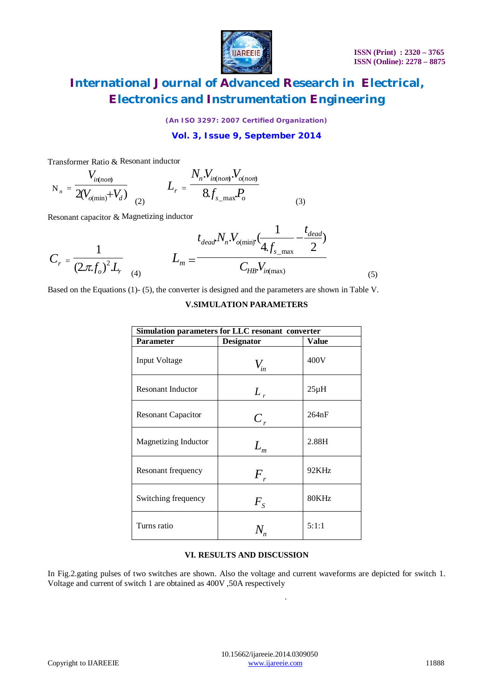

*(An ISO 3297: 2007 Certified Organization)*

**Vol. 3, Issue 9, September 2014**

Transformer Ratio & Resonant inductor

$$
N_{n} = \frac{V_{in(nom)}}{2(V_{o(min)} + V_{d})}
$$
  

$$
L_{r} = \frac{N_{n}V_{in(nom)}V_{o(nom)}}{8f_{s_{max}}P_{o}}
$$
 (3)

Resonant capacitor & Magnetizing inductor

$$
C_r = \frac{1}{(2\pi f_o)^2 L_r} \qquad L_m = \frac{t_{dead} N_n V_{o(\min)} \cdot \frac{1}{4 f_{s_{\max}}} - \frac{t_{dead}}{2}}{C_{HB} V_{in(\max)}}
$$
(5)

Based on the Equations (1)- (5), the converter is designed and the parameters are shown in Table V.

#### **V.SIMULATION PARAMETERS**

| Simulation parameters for LLC resonant converter |                              |           |
|--------------------------------------------------|------------------------------|-----------|
| <b>Parameter</b>                                 | <b>Designator</b>            | Value     |
| <b>Input Voltage</b>                             | $V_{\scriptscriptstyle in}$  | 400V      |
| <b>Resonant Inductor</b>                         | $L_{r}$                      | $25\mu H$ |
| <b>Resonant Capacitor</b>                        | $C_r$                        | 264nF     |
| <b>Magnetizing Inductor</b>                      | $L_{\scriptscriptstyle m}$   | 2.88H     |
| Resonant frequency                               | $F_{\scriptscriptstyle\! R}$ | 92KHz     |
| Switching frequency                              | $F_{\rm s}$                  | 80KHz     |
| Turns ratio                                      |                              | 5:1:1     |

#### **VI. RESULTS AND DISCUSSION**

In Fig.2.gating pulses of two switches are shown. Also the voltage and current waveforms are depicted for switch 1. Voltage and current of switch 1 are obtained as 400V ,50A respectively

.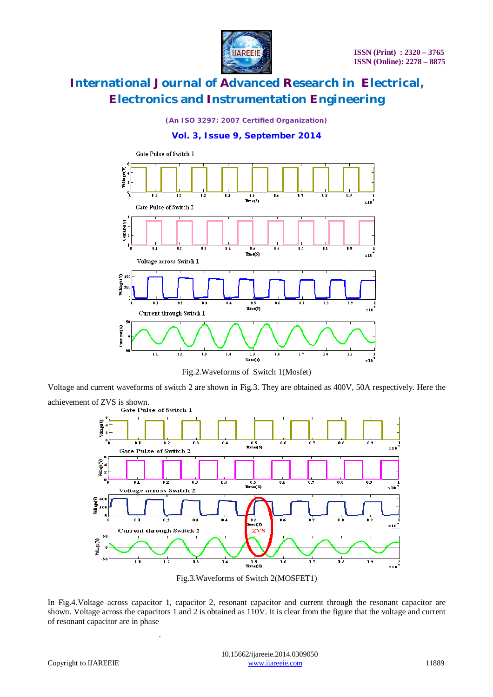

*(An ISO 3297: 2007 Certified Organization)*

### **Vol. 3, Issue 9, September 2014**



Fig.2.Waveforms of Switch 1(Mosfet)

Voltage and current waveforms of switch 2 are shown in Fig.3. They are obtained as 400V, 50A respectively. Here the achievement of ZVS is shown.<br>Gate Pulse of Switch 1



Fig.3.Waveforms of Switch 2(MOSFET1)

In Fig.4.Voltage across capacitor 1, capacitor 2, resonant capacitor and current through the resonant capacitor are shown. Voltage across the capacitors 1 and 2 is obtained as 110V. It is clear from the figure that the voltage and current of resonant capacitor are in phase

.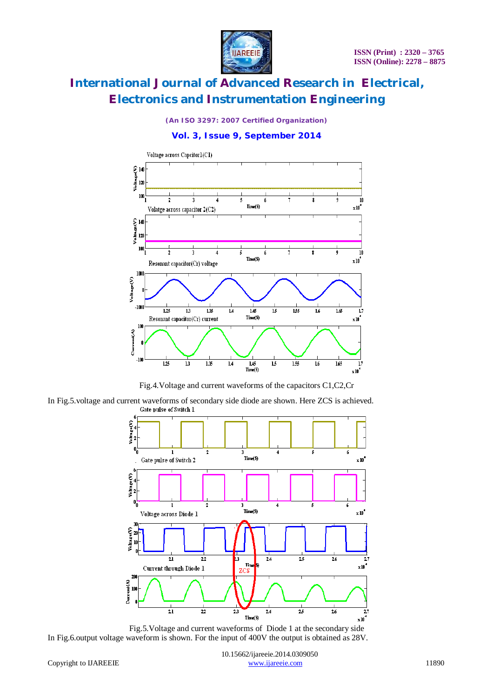

*(An ISO 3297: 2007 Certified Organization)*

### **Vol. 3, Issue 9, September 2014**



Fig.4.Voltage and current waveforms of the capacitors C1,C2,Cr

In Fig.5.voltage and current waveforms of secondary side diode are shown. Here ZCS is achieved.



Fig.5.Voltage and current waveforms of Diode 1 at the secondary side In Fig.6.output voltage waveform is shown. For the input of 400V the output is obtained as 28V.